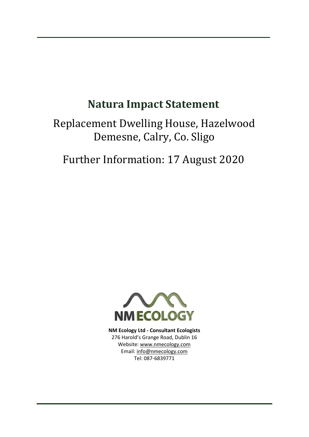# **Natura Impact Statement**

# Replacement Dwelling House, Hazelwood Demesne, Calry, Co. Sligo

Further Information: 17 August 2020



**NM Ecology Ltd - Consultant Ecologists** 276 Harold's Grange Road, Dublin 16 Website: www.nmecology.com Email: [info@nmecology.com](mailto:info@nmecology.com) Tel: 087-6839771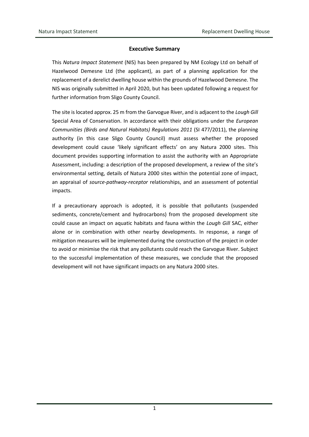#### **Executive Summary**

This *Natura Impact Statement* (NIS) has been prepared by NM Ecology Ltd on behalf of Hazelwood Demesne Ltd (the applicant), as part of a planning application for the replacement of a derelict dwelling house within the grounds of Hazelwood Demesne. The NIS was originally submitted in April 2020, but has been updated following a request for further information from Sligo County Council.

The site is located approx. 25 m from the Garvogue River, and is adjacent to the *Lough Gill* Special Area of Conservation. In accordance with their obligations under the *European Communities (Birds and Natural Habitats) Regulations 2011* (SI 477/2011), the planning authority (in this case Sligo County Council) must assess whether the proposed development could cause 'likely significant effects' on any Natura 2000 sites. This document provides supporting information to assist the authority with an Appropriate Assessment, including: a description of the proposed development, a review of the site's environmental setting, details of Natura 2000 sites within the potential zone of impact, an appraisal of *source-pathway-receptor* relationships, and an assessment of potential impacts.

If a precautionary approach is adopted, it is possible that pollutants (suspended sediments, concrete/cement and hydrocarbons) from the proposed development site could cause an impact on aquatic habitats and fauna within the *Lough Gill* SAC, either alone or in combination with other nearby developments. In response, a range of mitigation measures will be implemented during the construction of the project in order to avoid or minimise the risk that any pollutants could reach the Garvogue River. Subject to the successful implementation of these measures, we conclude that the proposed development will not have significant impacts on any Natura 2000 sites.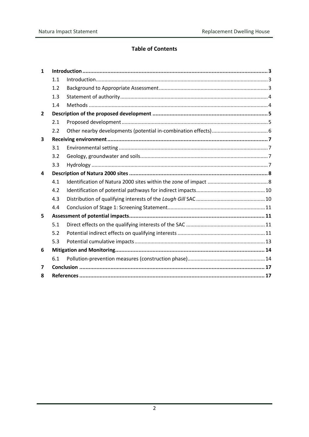## **Table of Contents**

| $\mathbf{1}$ |     |  |  |  |
|--------------|-----|--|--|--|
|              | 1.1 |  |  |  |
|              | 1.2 |  |  |  |
|              | 1.3 |  |  |  |
|              | 1.4 |  |  |  |
| $\mathbf{2}$ |     |  |  |  |
|              | 2.1 |  |  |  |
|              | 2.2 |  |  |  |
| 3            |     |  |  |  |
|              | 3.1 |  |  |  |
|              | 3.2 |  |  |  |
|              | 3.3 |  |  |  |
| 4            |     |  |  |  |
|              | 4.1 |  |  |  |
|              | 4.2 |  |  |  |
|              | 4.3 |  |  |  |
|              | 4.4 |  |  |  |
| 5            |     |  |  |  |
|              | 5.1 |  |  |  |
|              | 5.2 |  |  |  |
|              | 5.3 |  |  |  |
| 6            |     |  |  |  |
|              | 6.1 |  |  |  |
| 7            |     |  |  |  |
| 8            |     |  |  |  |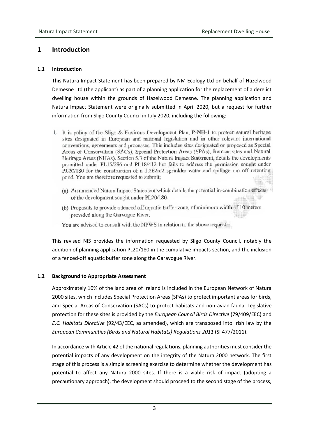# <span id="page-3-0"></span>**1 Introduction**

#### <span id="page-3-1"></span>**1.1 Introduction**

This Natura Impact Statement has been prepared by NM Ecology Ltd on behalf of Hazelwood Demesne Ltd (the applicant) as part of a planning application for the replacement of a derelict dwelling house within the grounds of Hazelwood Demesne. The planning application and Natura Impact Statement were originally submitted in April 2020, but a request for further information from Sligo County Council in July 2020, including the following:

- 1. It is policy of the Sligo & Environs Development Plan, P-NH-1 to protect natural heritage sites designated in European and national legislation and in other relevant international conventions, agreements and processes. This includes sites designated or proposed as Special Areas of Conservation (SACs), Special Protection Areas (SPAs), Ramsar sites and Natural Heritage Areas (NHAs). Section 5.3 of the Natura Impact Statement, details the developments permitted under PL15/296 and PL18/412 but fails to address the permission sought under PL20/180 for the construction of a 1.262m2 sprinkler water and spillage run off retention pond. You are therefore requested to submit;
	- (a) An amended Natura Impact Statement which details the potential in-combination effects of the development sought under PL20/180.
	- (b) Proposals to provide a fenced off aquatic buffer zone, of minimum width of 10 meters provided along the Garvogue River.

You are advised to consult with the NPWS in relation to the above request.

This revised NIS provides the information requested by Sligo County Council, notably the addition of planning application PL20/180 in the cumulative impacts section, and the inclusion of a fenced-off aquatic buffer zone along the Garavogue River.

#### <span id="page-3-2"></span>**1.2 Background to Appropriate Assessment**

Approximately 10% of the land area of Ireland is included in the European Network of Natura 2000 sites, which includes Special Protection Areas (SPAs) to protect important areas for birds, and Special Areas of Conservation (SACs) to protect habitats and non-avian fauna. Legislative protection for these sites is provided by the *European Council Birds Directive* (79/409/EEC) and *E.C. Habitats Directive* (92/43/EEC, as amended), which are transposed into Irish law by the *European Communities (Birds and Natural Habitats) Regulations 2011* (SI 477/2011).

In accordance with Article 42 of the national regulations, planning authorities must consider the potential impacts of any development on the integrity of the Natura 2000 network. The first stage of this process is a simple screening exercise to determine whether the development has potential to affect any Natura 2000 sites. If there is a viable risk of impact (adopting a precautionary approach), the development should proceed to the second stage of the process,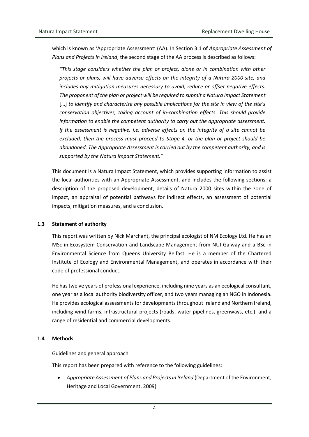which is known as 'Appropriate Assessment' (AA). In Section 3.1 of *Appropriate Assessment of Plans and Projects in Ireland*, the second stage of the AA process is described as follows:

*"This stage considers whether the plan or project, alone or in combination with other projects or plans, will have adverse effects on the integrity of a Natura 2000 site, and includes any mitigation measures necessary to avoid, reduce or offset negative effects. The proponent of the plan or project will be required to submit a Natura Impact Statement*  […] *to identify and characterise any possible implications for the site in view of the site's conservation objectives, taking account of in-combination effects. This should provide information to enable the competent authority to carry out the appropriate assessment. If the assessment is negative, i.e. adverse effects on the integrity of a site cannot be excluded, then the process must proceed to Stage 4, or the plan or project should be abandoned. The Appropriate Assessment is carried out by the competent authority, and is supported by the Natura Impact Statement."*

This document is a Natura Impact Statement, which provides supporting information to assist the local authorities with an Appropriate Assessment, and includes the following sections: a description of the proposed development, details of Natura 2000 sites within the zone of impact, an appraisal of potential pathways for indirect effects, an assessment of potential impacts, mitigation measures, and a conclusion.

#### <span id="page-4-0"></span>**1.3 Statement of authority**

This report was written by Nick Marchant, the principal ecologist of NM Ecology Ltd. He has an MSc in Ecosystem Conservation and Landscape Management from NUI Galway and a BSc in Environmental Science from Queens University Belfast. He is a member of the Chartered Institute of Ecology and Environmental Management, and operates in accordance with their code of professional conduct.

He has twelve years of professional experience, including nine years as an ecological consultant, one year as a local authority biodiversity officer, and two years managing an NGO in Indonesia. He provides ecological assessments for developments throughout Ireland and Northern Ireland, including wind farms, infrastructural projects (roads, water pipelines, greenways, etc.), and a range of residential and commercial developments.

#### <span id="page-4-1"></span>**1.4 Methods**

#### Guidelines and general approach

This report has been prepared with reference to the following guidelines:

• *Appropriate Assessment of Plans and Projects in Ireland* (Department of the Environment, Heritage and Local Government, 2009)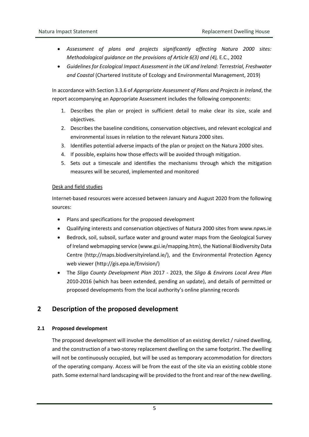- *Assessment of plans and projects significantly affecting Natura 2000 sites: Methodological guidance on the provisions of Article 6(3) and (4),* E.C., 2002
- *Guidelines for Ecological Impact Assessment in the UK and Ireland: Terrestrial, Freshwater and Coastal* (Chartered Institute of Ecology and Environmental Management, 2019)

In accordance with Section 3.3.6 of *Appropriate Assessment of Plans and Projects in Ireland*, the report accompanying an Appropriate Assessment includes the following components:

- 1. Describes the plan or project in sufficient detail to make clear its size, scale and objectives.
- 2. Describes the baseline conditions, conservation objectives, and relevant ecological and environmental issues in relation to the relevant Natura 2000 sites.
- 3. Identifies potential adverse impacts of the plan or project on the Natura 2000 sites.
- 4. If possible, explains how those effects will be avoided through mitigation.
- 5. Sets out a timescale and identifies the mechanisms through which the mitigation measures will be secured, implemented and monitored

#### Desk and field studies

Internet-based resources were accessed between January and August 2020 from the following sources:

- Plans and specifications for the proposed development
- Qualifying interests and conservation objectives of Natura 2000 sites from www.npws.ie
- Bedrock, soil, subsoil, surface water and ground water maps from the Geological Survey of Ireland webmapping service [\(www.gsi.ie/mapping.htm\)](http://www.gsi.ie/mapping.htm), the National Biodiversity Data Centre [\(http://maps.biodiversityireland.ie/\)](http://maps.biodiversityireland.ie/), and the Environmental Protection Agency web viewer [\(http://gis.epa.ie/Envision/\)](http://gis.epa.ie/Envision/)
- The *Sligo County Development Plan* 2017 2023, the *Sligo & Environs Local Area Plan* 2010-2016 (which has been extended, pending an update), and details of permitted or proposed developments from the local authority's online planning records

# <span id="page-5-0"></span>**2 Description of the proposed development**

#### <span id="page-5-1"></span>**2.1 Proposed development**

The proposed development will involve the demolition of an existing derelict / ruined dwelling, and the construction of a two-storey replacement dwelling on the same footprint. The dwelling will not be continuously occupied, but will be used as temporary accommodation for directors of the operating company. Access will be from the east of the site via an existing cobble stone path. Some external hard landscaping will be provided to the front and rear of the new dwelling.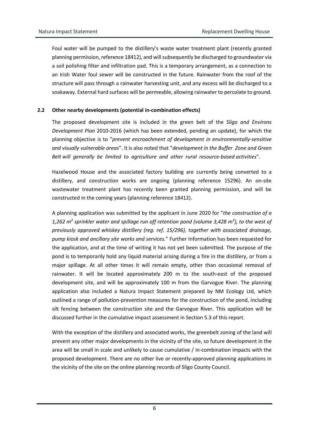Foul water will be pumped to the distillery's waste water treatment plant (recently granted planning permission, reference 18412), and will subsequently be discharged to groundwater via a soil polishing filter and infiltration pad. This is a temporary arrangement, as a connection to an Irish Water foul sewer will be constructed in the future. Rainwater from the roof of the structure will pass through a rainwater harvesting unit, and any excess will be discharged to a soakaway. External hard surfaces will be permeable, allowing rainwater to percolate to ground.

#### <span id="page-6-0"></span>**2.2 Other nearby developments (potential in-combination effects)**

The proposed development site is included in the green belt of the *Sligo and Environs Development Plan* 2010-2016 (which has been extended, pending an update), for which the planning objective is to "*prevent encroachment of development in environmentally-sensitive and visually vulnerable areas*". It is also noted that "*development in the Buffer Zone and Green Belt will generally be limited to agriculture and other rural resource-based activities*".

Hazelwood House and the associated factory building are currently being converted to a distillery, and construction works are ongoing (planning reference 15296). An on-site wastewater treatment plant has recently been granted planning permission, and will be constructed in the coming years (planning reference 18412).

A planning application was submitted by the applicant in June 2020 for "*the construction of a 1,262 m<sup>2</sup> sprinkler water and spillage run off retention pond (volume 3,428 m<sup>3</sup> ), to the west of previously approved whiskey distillery (reg. ref. 15/296), together with associated drainage, pump kiosk and ancillary site works and services.*" Further Information has been requested for the application, and at the time of writing it has not yet been submitted. The purpose of the pond is to temporarily hold any liquid material arising during a fire in the distillery, or from a major spillage. At all other times it will remain empty, other than occasional removal of rainwater. It will be located approximately 200 m to the south-east of the proposed development site, and will be approximately 100 m from the Garvogue River. The planning application also included a Natura Impact Statement prepared by NM Ecology Ltd, which outlined a range of pollution-prevention measures for the construction of the pond, including silt fencing between the construction site and the Garvogue River. This application will be discussed further in the cumulative impact assessment in Section 5.3 of this report.

With the exception of the distillery and associated works, the greenbelt zoning of the land will prevent any other major developments in the vicinity of the site, so future development in the area will be small in scale and unlikely to cause cumulative / in-combination impacts with the proposed development. There are no other live or recently-approved planning applications in the vicinity of the site on the online planning records of Sligo County Council.

6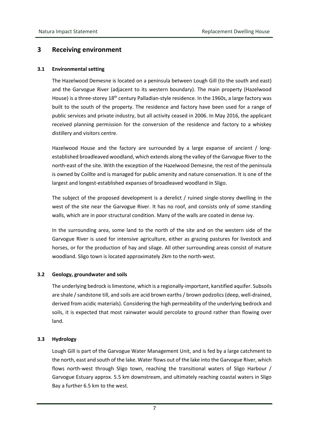### <span id="page-7-0"></span>**3 Receiving environment**

#### <span id="page-7-1"></span>**3.1 Environmental setting**

The Hazelwood Demesne is located on a peninsula between Lough Gill (to the south and east) and the Garvogue River (adjacent to its western boundary). The main property (Hazelwood House) is a three-storey 18<sup>th</sup> century Palladian-style residence. In the 1960s, a large factory was built to the south of the property. The residence and factory have been used for a range of public services and private industry, but all activity ceased in 2006. In May 2016, the applicant received planning permission for the conversion of the residence and factory to a whiskey distillery and visitors centre.

Hazelwood House and the factory are surrounded by a large expanse of ancient / longestablished broadleaved woodland, which extends along the valley of the Garvogue River to the north-east of the site. With the exception of the Hazelwood Demesne, the rest of the peninsula is owned by Coillte and is managed for public amenity and nature conservation. It is one of the largest and longest-established expanses of broadleaved woodland in Sligo.

The subject of the proposed development is a derelict / ruined single-storey dwelling in the west of the site near the Garvogue River. It has no roof, and consists only of some standing walls, which are in poor structural condition. Many of the walls are coated in dense ivy.

In the surrounding area, some land to the north of the site and on the western side of the Garvogue River is used for intensive agriculture, either as grazing pastures for livestock and horses, or for the production of hay and silage. All other surrounding areas consist of mature woodland. Sligo town is located approximately 2km to the north-west.

#### <span id="page-7-2"></span>**3.2 Geology, groundwater and soils**

The underlying bedrock is limestone, which is a regionally-important, karstified aquifer. Subsoils are shale / sandstone till, and soils are acid brown earths / brown podzolics (deep, well-drained, derived from acidic materials). Considering the high permeability of the underlying bedrock and soils, it is expected that most rainwater would percolate to ground rather than flowing over land.

#### <span id="page-7-3"></span>**3.3 Hydrology**

Lough Gill is part of the Garvogue Water Management Unit, and is fed by a large catchment to the north, east and south of the lake. Water flows out of the lake into the Garvogue River, which flows north-west through Sligo town, reaching the transitional waters of Sligo Harbour / Garvogue Estuary approx. 5.5 km downstream, and ultimately reaching coastal waters in Sligo Bay a further 6.5 km to the west.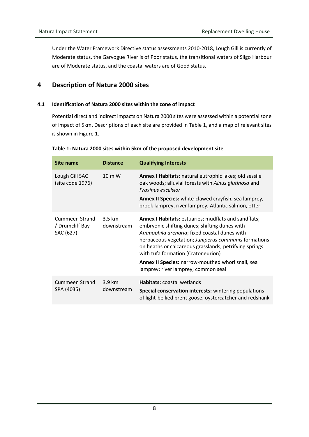Under the Water Framework Directive status assessments 2010-2018, Lough Gill is currently of Moderate status, the Garvogue River is of Poor status, the transitional waters of Sligo Harbour are of Moderate status, and the coastal waters are of Good status.

# <span id="page-8-0"></span>**4 Description of Natura 2000 sites**

#### <span id="page-8-1"></span>**4.1 Identification of Natura 2000 sites within the zone of impact**

Potential direct and indirect impacts on Natura 2000 sites were assessed within a potential zone of impact of 5km. Descriptions of each site are provided in Table 1, and a map of relevant sites is shown in Figure 1.

| Site name                                             | <b>Distance</b>                 | <b>Qualifying Interests</b>                                                                                                                                                                                                                                                                                                                                                                               |
|-------------------------------------------------------|---------------------------------|-----------------------------------------------------------------------------------------------------------------------------------------------------------------------------------------------------------------------------------------------------------------------------------------------------------------------------------------------------------------------------------------------------------|
| Lough Gill SAC<br>(site code 1976)                    | $10 \text{ m}$ W                | Annex I Habitats: natural eutrophic lakes; old sessile<br>oak woods; alluvial forests with Alnus glutinosa and<br>Fraxinus excelsior<br>Annex II Species: white-clawed crayfish, sea lamprey,<br>brook lamprey, river lamprey, Atlantic salmon, otter                                                                                                                                                     |
| <b>Cummeen Strand</b><br>/ Drumcliff Bay<br>SAC (627) | $3.5 \mathrm{km}$<br>downstream | Annex I Habitats: estuaries; mudflats and sandflats;<br>embryonic shifting dunes; shifting dunes with<br>Ammophila arenaria; fixed coastal dunes with<br>herbaceous vegetation; Juniperus communis formations<br>on heaths or calcareous grasslands; petrifying springs<br>with tufa formation (Cratoneurion)<br>Annex II Species: narrow-mouthed whorl snail, sea<br>lamprey; river lamprey; common seal |
| Cummeen Strand<br>SPA (4035)                          | 3.9 km<br>downstream            | <b>Habitats: coastal wetlands</b><br>Special conservation interests: wintering populations<br>of light-bellied brent goose, oystercatcher and redshank                                                                                                                                                                                                                                                    |

#### **Table 1: Natura 2000 sites within 5km of the proposed development site**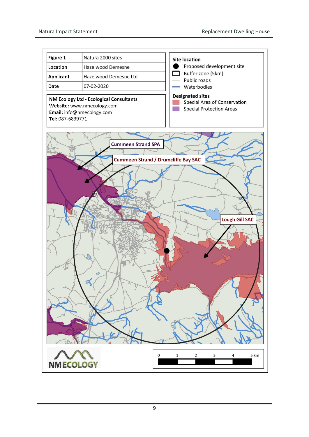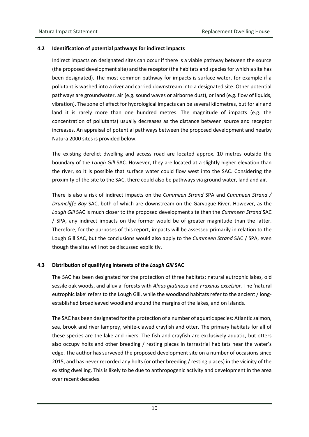#### <span id="page-10-0"></span>**4.2 Identification of potential pathways for indirect impacts**

Indirect impacts on designated sites can occur if there is a viable pathway between the source (the proposed development site) and the receptor (the habitats and species for which a site has been designated). The most common pathway for impacts is surface water, for example if a pollutant is washed into a river and carried downstream into a designated site. Other potential pathways are groundwater, air (e.g. sound waves or airborne dust), or land (e.g. flow of liquids, vibration). The zone of effect for hydrological impacts can be several kilometres, but for air and land it is rarely more than one hundred metres. The magnitude of impacts (e.g. the concentration of pollutants) usually decreases as the distance between source and receptor increases. An appraisal of potential pathways between the proposed development and nearby Natura 2000 sites is provided below.

The existing derelict dwelling and access road are located approx. 10 metres outside the boundary of the *Lough Gill* SAC. However, they are located at a slightly higher elevation than the river, so it is possible that surface water could flow west into the SAC. Considering the proximity of the site to the SAC, there could also be pathways via ground water, land and air.

There is also a risk of indirect impacts on the *Cummeen Strand* SPA and *Cummeen Strand / Drumcliffe Bay* SAC, both of which are downstream on the Garvogue River. However, as the *Lough Gill* SAC is much closer to the proposed development site than the *Cummeen Strand* SAC / SPA, any indirect impacts on the former would be of greater magnitude than the latter. Therefore, for the purposes of this report, impacts will be assessed primarily in relation to the Lough Gill SAC, but the conclusions would also apply to the *Cummeen Strand* SAC / SPA, even though the sites will not be discussed explicitly.

#### <span id="page-10-1"></span>**4.3 Distribution of qualifying interests of the** *Lough Gill* **SAC**

The SAC has been designated for the protection of three habitats: natural eutrophic lakes, old sessile oak woods, and alluvial forests with *Alnus glutinosa* and *Fraxinus excelsior.* The 'natural eutrophic lake' refers to the Lough Gill, while the woodland habitats refer to the ancient / longestablished broadleaved woodland around the margins of the lakes, and on islands.

The SAC has been designated for the protection of a number of aquatic species: Atlantic salmon, sea, brook and river lamprey, white-clawed crayfish and otter. The primary habitats for all of these species are the lake and rivers. The fish and crayfish are exclusively aquatic, but otters also occupy holts and other breeding / resting places in terrestrial habitats near the water's edge. The author has surveyed the proposed development site on a number of occasions since 2015, and has never recorded any holts (or other breeding / resting places) in the vicinity of the existing dwelling. This is likely to be due to anthropogenic activity and development in the area over recent decades.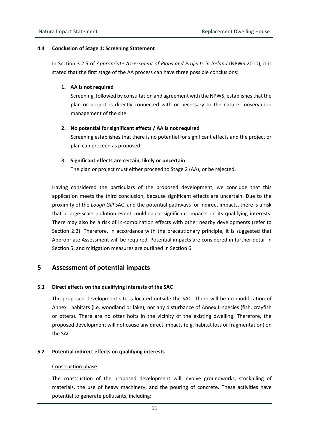#### <span id="page-11-0"></span>**4.4 Conclusion of Stage 1: Screening Statement**

In Section 3.2.5 of *Appropriate Assessment of Plans and Projects in Ireland* (NPWS 2010), it is stated that the first stage of the AA process can have three possible conclusions:

#### **1. AA is not required**

Screening, followed by consultation and agreement with the NPWS, establishes that the plan or project is directly connected with or necessary to the nature conservation management of the site

#### **2. No potential for significant effects / AA is not required**

Screening establishes that there is no potential for significant effects and the project or plan can proceed as proposed.

#### **3. Significant effects are certain, likely or uncertain**

The plan or project must either proceed to Stage 2 (AA), or be rejected.

Having considered the particulars of the proposed development, we conclude that this application meets the third conclusion, because significant effects are uncertain. Due to the proximity of the *Lough Gill* SAC, and the potential pathways for indirect impacts, there is a risk that a large-scale pollution event could cause significant impacts on its qualifying interests. There may also be a risk of in-combination effects with other nearby developments (refer to Section 2.2). Therefore, in accordance with the precautionary principle, it is suggested that Appropriate Assessment will be required. Potential impacts are considered in further detail in Section 5, and mitigation measures are outlined in Section 6.

## <span id="page-11-1"></span>**5 Assessment of potential impacts**

#### <span id="page-11-2"></span>**5.1 Direct effects on the qualifying interests of the SAC**

The proposed development site is located outside the SAC. There will be no modification of Annex I habitats (i.e. woodland or lake), nor any disturbance of Annex II species (fish, crayfish or otters). There are no otter holts in the vicinity of the existing dwelling. Therefore, the proposed development will not cause any direct impacts (e.g. habitat loss or fragmentation) on the SAC.

#### <span id="page-11-3"></span>**5.2 Potential indirect effects on qualifying interests**

#### Construction phase

The construction of the proposed development will involve groundworks, stockpiling of materials, the use of heavy machinery, and the pouring of concrete. These activities have potential to generate pollutants, including: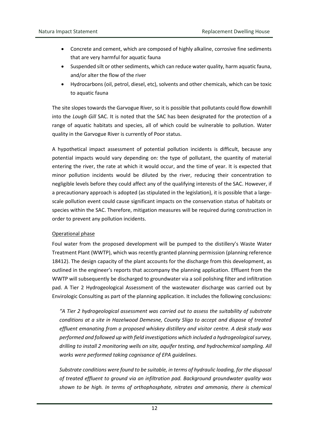- Concrete and cement, which are composed of highly alkaline, corrosive fine sediments that are very harmful for aquatic fauna
- Suspended silt or other sediments, which can reduce water quality, harm aquatic fauna, and/or alter the flow of the river
- Hydrocarbons (oil, petrol, diesel, etc), solvents and other chemicals, which can be toxic to aquatic fauna

The site slopes towards the Garvogue River, so it is possible that pollutants could flow downhill into the *Lough Gill* SAC. It is noted that the SAC has been designated for the protection of a range of aquatic habitats and species, all of which could be vulnerable to pollution. Water quality in the Garvogue River is currently of Poor status.

A hypothetical impact assessment of potential pollution incidents is difficult, because any potential impacts would vary depending on: the type of pollutant, the quantity of material entering the river, the rate at which it would occur, and the time of year. It is expected that minor pollution incidents would be diluted by the river, reducing their concentration to negligible levels before they could affect any of the qualifying interests of the SAC. However, if a precautionary approach is adopted (as stipulated in the legislation), it is possible that a largescale pollution event could cause significant impacts on the conservation status of habitats or species within the SAC. Therefore, mitigation measures will be required during construction in order to prevent any pollution incidents.

#### Operational phase

Foul water from the proposed development will be pumped to the distillery's Waste Water Treatment Plant (WWTP), which was recently granted planning permission (planning reference 18412). The design capacity of the plant accounts for the discharge from this development, as outlined in the engineer's reports that accompany the planning application. Effluent from the WWTP will subsequently be discharged to groundwater via a soil polishing filter and infiltration pad. A Tier 2 Hydrogeological Assessment of the wastewater discharge was carried out by Envirologic Consulting as part of the planning application. It includes the following conclusions:

*"A Tier 2 hydrogeological assessment was carried out to assess the suitability of substrate conditions at a site in Hazelwood Demesne, County Sligo to accept and dispose of treated effluent emanating from a proposed whiskey distillery and visitor centre. A desk study was performed and followed up with field investigations which included a hydrogeological survey, drilling to install 2 monitoring wells on site, aquifer testing, and hydrochemical sampling. All works were performed taking cognisance of EPA guidelines.*

*Substrate conditions were found to be suitable, in terms of hydraulic loading, for the disposal of treated effluent to ground via an infiltration pad. Background groundwater quality was shown to be high. In terms of orthophosphate, nitrates and ammonia, there is chemical*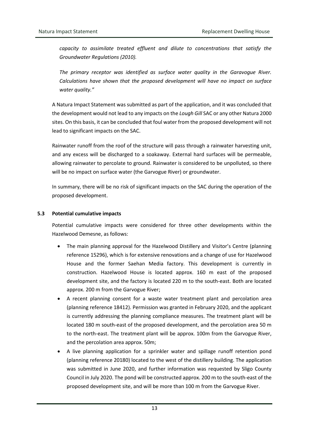*capacity to assimilate treated effluent and dilute to concentrations that satisfy the Groundwater Regulations (2010).*

*The primary receptor was identified as surface water quality in the Garavogue River. Calculations have shown that the proposed development will have no impact on surface water quality."*

A Natura Impact Statement was submitted as part of the application, and it was concluded that the development would not lead to any impacts on the *Lough Gill* SAC or any other Natura 2000 sites. On this basis, it can be concluded that foul water from the proposed development will not lead to significant impacts on the SAC.

Rainwater runoff from the roof of the structure will pass through a rainwater harvesting unit, and any excess will be discharged to a soakaway. External hard surfaces will be permeable, allowing rainwater to percolate to ground. Rainwater is considered to be unpolluted, so there will be no impact on surface water (the Garvogue River) or groundwater.

In summary, there will be no risk of significant impacts on the SAC during the operation of the proposed development.

#### <span id="page-13-0"></span>**5.3 Potential cumulative impacts**

Potential cumulative impacts were considered for three other developments within the Hazelwood Demesne, as follows:

- The main planning approval for the Hazelwood Distillery and Visitor's Centre (planning reference 15296), which is for extensive renovations and a change of use for Hazelwood House and the former Saehan Media factory. This development is currently in construction. Hazelwood House is located approx. 160 m east of the proposed development site, and the factory is located 220 m to the south-east. Both are located approx. 200 m from the Garvogue River;
- A recent planning consent for a waste water treatment plant and percolation area (planning reference 18412). Permission was granted in February 2020, and the applicant is currently addressing the planning compliance measures. The treatment plant will be located 180 m south-east of the proposed development, and the percolation area 50 m to the north-east. The treatment plant will be approx. 100m from the Garvogue River, and the percolation area approx. 50m;
- A live planning application for a sprinkler water and spillage runoff retention pond (planning reference 20180) located to the west of the distillery building. The application was submitted in June 2020, and further information was requested by Sligo County Council in July 2020. The pond will be constructed approx. 200 m to the south-east of the proposed development site, and will be more than 100 m from the Garvogue River.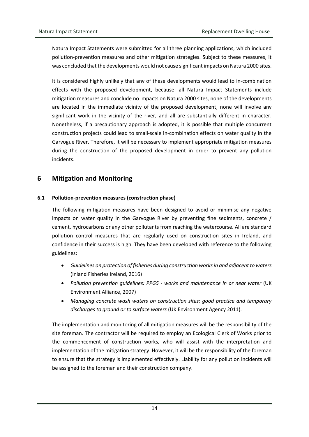Natura Impact Statements were submitted for all three planning applications, which included pollution-prevention measures and other mitigation strategies. Subject to these measures, it was concluded that the developments would not cause significant impacts on Natura 2000 sites.

It is considered highly unlikely that any of these developments would lead to in-combination effects with the proposed development, because: all Natura Impact Statements include mitigation measures and conclude no impacts on Natura 2000 sites, none of the developments are located in the immediate vicinity of the proposed development, none will involve any significant work in the vicinity of the river, and all are substantially different in character. Nonetheless, if a precautionary approach is adopted, it is possible that multiple concurrent construction projects could lead to small-scale in-combination effects on water quality in the Garvogue River. Therefore, it will be necessary to implement appropriate mitigation measures during the construction of the proposed development in order to prevent any pollution incidents.

### <span id="page-14-0"></span>**6 Mitigation and Monitoring**

#### <span id="page-14-1"></span>**6.1 Pollution-prevention measures (construction phase)**

The following mitigation measures have been designed to avoid or minimise any negative impacts on water quality in the Garvogue River by preventing fine sediments, concrete / cement, hydrocarbons or any other pollutants from reaching the watercourse. All are standard pollution control measures that are regularly used on construction sites in Ireland, and confidence in their success is high. They have been developed with reference to the following guidelines:

- *Guidelines on protection of fisheries during construction works in and adjacent to waters*  (Inland Fisheries Ireland, 2016)
- *Pollution prevention guidelines: PPG5 - works and maintenance in or near water* (UK Environment Alliance, 2007)
- *Managing concrete wash waters on construction sites: good practice and temporary discharges to ground or to surface waters* (UK Environment Agency 2011).

The implementation and monitoring of all mitigation measures will be the responsibility of the site foreman. The contractor will be required to employ an Ecological Clerk of Works prior to the commencement of construction works, who will assist with the interpretation and implementation of the mitigation strategy. However, it will be the responsibility of the foreman to ensure that the strategy is implemented effectively. Liability for any pollution incidents will be assigned to the foreman and their construction company.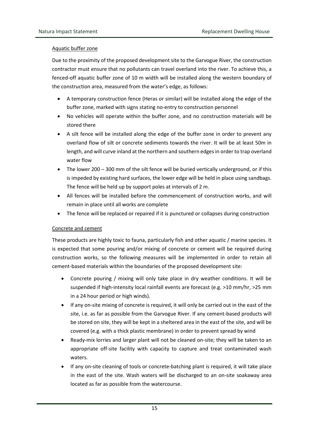#### Aquatic buffer zone

Due to the proximity of the proposed development site to the Garvogue River, the construction contractor must ensure that no pollutants can travel overland into the river. To achieve this, a fenced-off aquatic buffer zone of 10 m width will be installed along the western boundary of the construction area, measured from the water's edge, as follows:

- A temporary construction fence (Heras or similar) will be installed along the edge of the buffer zone, marked with signs stating no-entry to construction personnel
- No vehicles will operate within the buffer zone, and no construction materials will be stored there
- A silt fence will be installed along the edge of the buffer zone in order to prevent any overland flow of silt or concrete sediments towards the river. It will be at least 50m in length, and will curve inland at the northern and southern edges in order to trap overland water flow
- The lower 200 300 mm of the silt fence will be buried vertically underground, or if this is impeded by existing hard surfaces, the lower edge will be held in place using sandbags. The fence will be held up by support poles at intervals of 2 m.
- All fences will be installed before the commencement of construction works, and will remain in place until all works are complete
- The fence will be replaced or repaired if it is punctured or collapses during construction

#### Concrete and cement

These products are highly toxic to fauna, particularly fish and other aquatic / marine species. It is expected that some pouring and/or mixing of concrete or cement will be required during construction works, so the following measures will be implemented in order to retain all cement-based materials within the boundaries of the proposed development site:

- Concrete pouring / mixing will only take place in dry weather conditions. It will be suspended if high-intensity local rainfall events are forecast (e.g. >10 mm/hr, >25 mm in a 24 hour period or high winds).
- If any on-site mixing of concrete is required, it will only be carried out in the east of the site, i.e. as far as possible from the Garvogue River. If any cement-based products will be stored on site, they will be kept in a sheltered area in the east of the site, and will be covered (e.g. with a thick plastic membrane) in order to prevent spread by wind
- Ready-mix lorries and larger plant will not be cleaned on-site; they will be taken to an appropriate off-site facility with capacity to capture and treat contaminated wash waters.
- If any on-site cleaning of tools or concrete-batching plant is required, it will take place in the east of the site. Wash waters will be discharged to an on-site soakaway area located as far as possible from the watercourse.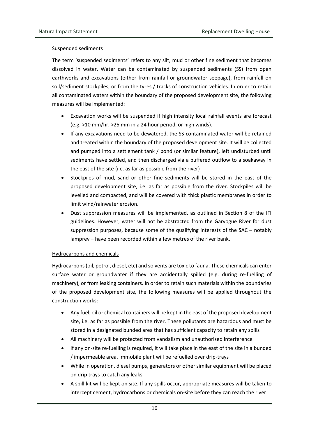#### Suspended sediments

The term 'suspended sediments' refers to any silt, mud or other fine sediment that becomes dissolved in water. Water can be contaminated by suspended sediments (SS) from open earthworks and excavations (either from rainfall or groundwater seepage), from rainfall on soil/sediment stockpiles, or from the tyres / tracks of construction vehicles. In order to retain all contaminated waters within the boundary of the proposed development site, the following measures will be implemented:

- Excavation works will be suspended if high intensity local rainfall events are forecast (e.g. >10 mm/hr, >25 mm in a 24 hour period, or high winds).
- If any excavations need to be dewatered, the SS-contaminated water will be retained and treated within the boundary of the proposed development site. It will be collected and pumped into a settlement tank / pond (or similar feature), left undisturbed until sediments have settled, and then discharged via a buffered outflow to a soakaway in the east of the site (i.e. as far as possible from the river)
- Stockpiles of mud, sand or other fine sediments will be stored in the east of the proposed development site, i.e. as far as possible from the river. Stockpiles will be levelled and compacted, and will be covered with thick plastic membranes in order to limit wind/rainwater erosion.
- Dust suppression measures will be implemented, as outlined in Section 8 of the IFI guidelines. However, water will not be abstracted from the Garvogue River for dust suppression purposes, because some of the qualifying interests of the SAC – notably lamprey – have been recorded within a few metres of the river bank.

#### Hydrocarbons and chemicals

Hydrocarbons (oil, petrol, diesel, etc) and solvents are toxic to fauna. These chemicals can enter surface water or groundwater if they are accidentally spilled (e.g. during re-fuelling of machinery), or from leaking containers. In order to retain such materials within the boundaries of the proposed development site, the following measures will be applied throughout the construction works:

- Any fuel, oil or chemical containers will be kept in the east of the proposed development site, i.e. as far as possible from the river. These pollutants are hazardous and must be stored in a designated bunded area that has sufficient capacity to retain any spills
- All machinery will be protected from vandalism and unauthorised interference
- If any on-site re-fuelling is required, it will take place in the east of the site in a bunded / impermeable area. Immobile plant will be refuelled over drip-trays
- While in operation, diesel pumps, generators or other similar equipment will be placed on drip trays to catch any leaks
- A spill kit will be kept on site. If any spills occur, appropriate measures will be taken to intercept cement, hydrocarbons or chemicals on-site before they can reach the river